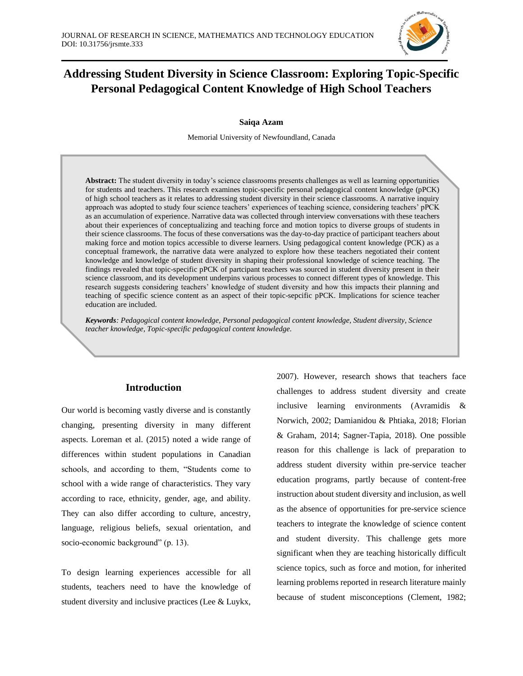

# **Addressing Student Diversity in Science Classroom: Exploring Topic-Specific Personal Pedagogical Content Knowledge of High School Teachers**

**Saiqa Azam**

Memorial University of Newfoundland, Canada

**Abstract:** The student diversity in today's science classrooms presents challenges as well as learning opportunities for students and teachers. This research examines topic-specific personal pedagogical content knowledge (pPCK) of high school teachers as it relates to addressing student diversity in their science classrooms. A narrative inquiry approach was adopted to study four science teachers' experiences of teaching science, considering teachers' pPCK as an accumulation of experience. Narrative data was collected through interview conversations with these teachers about their experiences of conceptualizing and teaching force and motion topics to diverse groups of students in their science classrooms. The focus of these conversations was the day-to-day practice of participant teachers about making force and motion topics accessible to diverse learners. Using pedagogical content knowledge (PCK) as a conceptual framework, the narrative data were analyzed to explore how these teachers negotiated their content knowledge and knowledge of student diversity in shaping their professional knowledge of science teaching. The findings revealed that topic-specific pPCK of partcipant teachers was sourced in student diversity present in their science classroom, and its development underpins various processes to connect different types of knowledge. This research suggests considering teachers' knowledge of student diversity and how this impacts their planning and teaching of specific science content as an aspect of their topic-sepcific pPCK. Implications for science teacher education are included.

*Keywords: Pedagogical content knowledge, Personal pedagogical content knowledge, Student diversity, Science teacher knowledge, Topic-specific pedagogical content knowledge.*

# **Introduction**

Our world is becoming vastly diverse and is constantly changing, presenting diversity in many different aspects. Loreman et al. (2015) noted a wide range of differences within student populations in Canadian schools, and according to them, "Students come to school with a wide range of characteristics. They vary according to race, ethnicity, gender, age, and ability. They can also differ according to culture, ancestry, language, religious beliefs, sexual orientation, and socio-economic background" (p. 13).

To design learning experiences accessible for all students, teachers need to have the knowledge of student diversity and inclusive practices (Lee & Luykx,

2007). However, research shows that teachers face challenges to address student diversity and create inclusive learning environments (Avramidis & Norwich, 2002; Damianidou & Phtiaka, 2018; Florian & Graham, 2014; Sagner-Tapia, 2018). One possible reason for this challenge is lack of preparation to address student diversity within pre-service teacher education programs, partly because of content-free instruction about student diversity and inclusion, as well as the absence of opportunities for pre-service science teachers to integrate the knowledge of science content and student diversity. This challenge gets more significant when they are teaching historically difficult science topics, such as force and motion, for inherited learning problems reported in research literature mainly because of student misconceptions (Clement, 1982;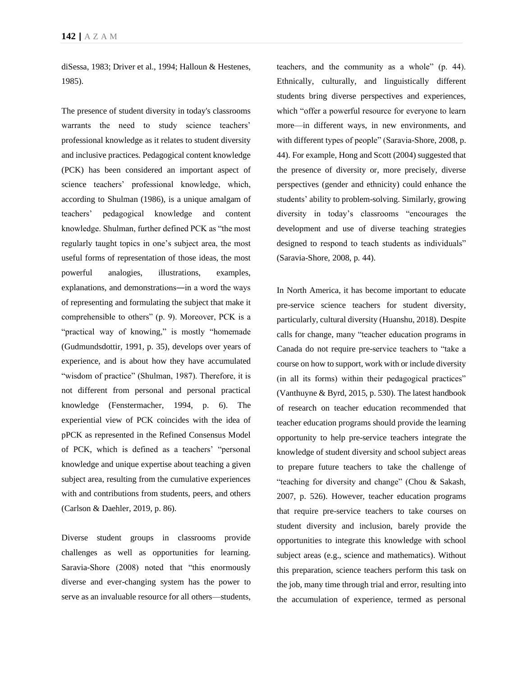diSessa, 1983; Driver et al., 1994; Halloun & Hestenes, 1985).

The presence of student diversity in today's classrooms warrants the need to study science teachers' professional knowledge as it relates to student diversity and inclusive practices. Pedagogical content knowledge (PCK) has been considered an important aspect of science teachers' professional knowledge, which, according to Shulman (1986), is a unique amalgam of teachers' pedagogical knowledge and content knowledge. Shulman, further defined PCK as "the most regularly taught topics in one's subject area, the most useful forms of representation of those ideas, the most powerful analogies, illustrations, examples, explanations, and demonstrations―in a word the ways of representing and formulating the subject that make it comprehensible to others" (p. 9). Moreover, PCK is a "practical way of knowing," is mostly "homemade (Gudmundsdottir, 1991, p. 35), develops over years of experience, and is about how they have accumulated "wisdom of practice" (Shulman, 1987). Therefore, it is not different from personal and personal practical knowledge (Fenstermacher, 1994, p. 6). The experiential view of PCK coincides with the idea of pPCK as represented in the Refined Consensus Model of PCK, which is defined as a teachers' "personal knowledge and unique expertise about teaching a given subject area, resulting from the cumulative experiences with and contributions from students, peers, and others (Carlson & Daehler, 2019, p. 86).

Diverse student groups in classrooms provide challenges as well as opportunities for learning. Saravia-Shore (2008) noted that "this enormously diverse and ever-changing system has the power to serve as an invaluable resource for all others—students, teachers, and the community as a whole" (p. 44). Ethnically, culturally, and linguistically different students bring diverse perspectives and experiences, which "offer a powerful resource for everyone to learn more—in different ways, in new environments, and with different types of people" (Saravia-Shore, 2008, p. 44). For example, Hong and Scott (2004) suggested that the presence of diversity or, more precisely, diverse perspectives (gender and ethnicity) could enhance the students' ability to problem-solving. Similarly, growing diversity in today's classrooms "encourages the development and use of diverse teaching strategies designed to respond to teach students as individuals" (Saravia-Shore, 2008, p. 44).

In North America, it has become important to educate pre-service science teachers for student diversity, particularly, cultural diversity (Huanshu, 2018). Despite calls for change, many "teacher education programs in Canada do not require pre-service teachers to "take a course on how to support, work with or include diversity (in all its forms) within their pedagogical practices" (Vanthuyne & Byrd, 2015, p. 530). The latest handbook of research on teacher education recommended that teacher education programs should provide the learning opportunity to help pre-service teachers integrate the knowledge of student diversity and school subject areas to prepare future teachers to take the challenge of "teaching for diversity and change" (Chou & Sakash, 2007, p. 526). However, teacher education programs that require pre-service teachers to take courses on student diversity and inclusion, barely provide the opportunities to integrate this knowledge with school subject areas (e.g., science and mathematics). Without this preparation, science teachers perform this task on the job, many time through trial and error, resulting into the accumulation of experience, termed as personal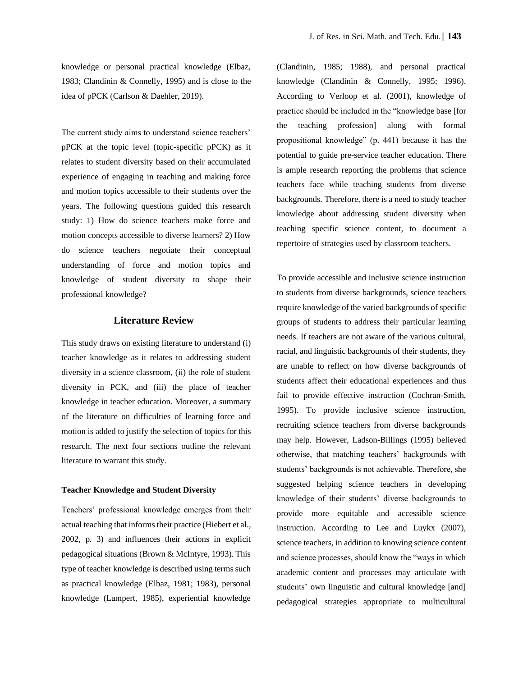knowledge or personal practical knowledge (Elbaz, 1983; Clandinin & Connelly, 1995) and is close to the idea of pPCK (Carlson & Daehler, 2019).

The current study aims to understand science teachers' pPCK at the topic level (topic-specific pPCK) as it relates to student diversity based on their accumulated experience of engaging in teaching and making force and motion topics accessible to their students over the years. The following questions guided this research study: 1) How do science teachers make force and motion concepts accessible to diverse learners? 2) How do science teachers negotiate their conceptual understanding of force and motion topics and knowledge of student diversity to shape their professional knowledge?

### **Literature Review**

This study draws on existing literature to understand (i) teacher knowledge as it relates to addressing student diversity in a science classroom, (ii) the role of student diversity in PCK, and (iii) the place of teacher knowledge in teacher education. Moreover, a summary of the literature on difficulties of learning force and motion is added to justify the selection of topics for this research. The next four sections outline the relevant literature to warrant this study.

#### **Teacher Knowledge and Student Diversity**

Teachers' professional knowledge emerges from their actual teaching that informs their practice (Hiebert et al., 2002, p. 3) and influences their actions in explicit pedagogical situations (Brown & McIntyre, 1993). This type of teacher knowledge is described using terms such as practical knowledge (Elbaz, 1981; 1983), personal knowledge (Lampert, 1985), experiential knowledge

(Clandinin, 1985; 1988), and personal practical knowledge (Clandinin & Connelly, 1995; 1996). According to Verloop et al. (2001), knowledge of practice should be included in the "knowledge base [for the teaching profession] along with formal propositional knowledge" (p. 441) because it has the potential to guide pre-service teacher education. There is ample research reporting the problems that science teachers face while teaching students from diverse backgrounds. Therefore, there is a need to study teacher knowledge about addressing student diversity when teaching specific science content, to document a repertoire of strategies used by classroom teachers.

To provide accessible and inclusive science instruction to students from diverse backgrounds, science teachers require knowledge of the varied backgrounds of specific groups of students to address their particular learning needs. If teachers are not aware of the various cultural, racial, and linguistic backgrounds of their students, they are unable to reflect on how diverse backgrounds of students affect their educational experiences and thus fail to provide effective instruction (Cochran-Smith, 1995). To provide inclusive science instruction, recruiting science teachers from diverse backgrounds may help. However, Ladson-Billings (1995) believed otherwise, that matching teachers' backgrounds with students' backgrounds is not achievable. Therefore, she suggested helping science teachers in developing knowledge of their students' diverse backgrounds to provide more equitable and accessible science instruction. According to Lee and Luykx (2007), science teachers, in addition to knowing science content and science processes, should know the "ways in which academic content and processes may articulate with students' own linguistic and cultural knowledge [and] pedagogical strategies appropriate to multicultural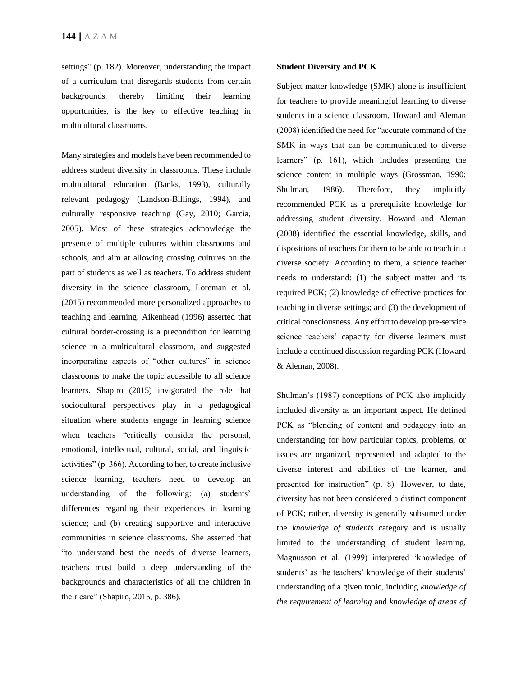settings" (p. 182). Moreover, understanding the impact of a curriculum that disregards students from certain backgrounds, thereby limiting their learning opportunities, is the key to effective teaching in multicultural classrooms.

Many strategies and models have been recommended to address student diversity in classrooms. These include multicultural education (Banks, 1993), culturally relevant pedagogy (Landson-Billings, 1994), and culturally responsive teaching (Gay, 2010; Garcia, 2005). Most of these strategies acknowledge the presence of multiple cultures within classrooms and schools, and aim at allowing crossing cultures on the part of students as well as teachers. To address student diversity in the science classroom, Loreman et al. (2015) recommended more personalized approaches to teaching and learning. Aikenhead (1996) asserted that cultural border-crossing is a precondition for learning science in a multicultural classroom, and suggested incorporating aspects of "other cultures" in science classrooms to make the topic accessible to all science learners. Shapiro (2015) invigorated the role that sociocultural perspectives play in a pedagogical situation where students engage in learning science when teachers "critically consider the personal, emotional, intellectual, cultural, social, and linguistic activities" (p. 366). According to her, to create inclusive science learning, teachers need to develop an understanding of the following: (a) students' differences regarding their experiences in learning science; and (b) creating supportive and interactive communities in science classrooms. She asserted that "to understand best the needs of diverse learners, teachers must build a deep understanding of the backgrounds and characteristics of all the children in their care" (Shapiro, 2015, p. 386).

#### **Student Diversity and PCK**

Subject matter knowledge (SMK) alone is insufficient for teachers to provide meaningful learning to diverse students in a science classroom. Howard and Aleman (2008) identified the need for "accurate command of the SMK in ways that can be communicated to diverse learners" (p. 161), which includes presenting the science content in multiple ways (Grossman, 1990; Shulman, 1986). Therefore, they implicitly recommended PCK as a prerequisite knowledge for addressing student diversity. Howard and Aleman (2008) identified the essential knowledge, skills, and dispositions of teachers for them to be able to teach in a diverse society. According to them, a science teacher needs to understand: (1) the subject matter and its required PCK; (2) knowledge of effective practices for teaching in diverse settings; and (3) the development of critical consciousness. Any effort to develop pre-service science teachers' capacity for diverse learners must include a continued discussion regarding PCK (Howard & Aleman, 2008).

Shulman's (1987) conceptions of PCK also implicitly included diversity as an important aspect. He defined PCK as "blending of content and pedagogy into an understanding for how particular topics, problems, or issues are organized, represented and adapted to the diverse interest and abilities of the learner, and presented for instruction" (p. 8). However, to date, diversity has not been considered a distinct component of PCK; rather, diversity is generally subsumed under the *knowledge of students* category and is usually limited to the understanding of student learning. Magnusson et al. (1999) interpreted 'knowledge of students' as the teachers' knowledge of their students' understanding of a given topic, including *knowledge of the requirement of learning* and *knowledge of areas of*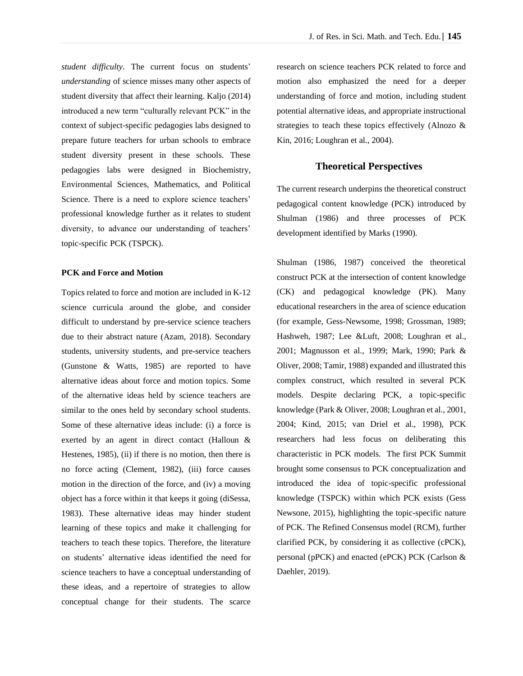*student difficulty*. The current focus on students' *understanding* of science misses many other aspects of student diversity that affect their learning. Kaljo (2014) introduced a new term "culturally relevant PCK" in the context of subject-specific pedagogies labs designed to prepare future teachers for urban schools to embrace student diversity present in these schools. These pedagogies labs were designed in Biochemistry, Environmental Sciences, Mathematics, and Political Science. There is a need to explore science teachers' professional knowledge further as it relates to student diversity, to advance our understanding of teachers' topic-specific PCK (TSPCK).

### **PCK and Force and Motion**

Topics related to force and motion are included in K-12 science curricula around the globe, and consider difficult to understand by pre-service science teachers due to their abstract nature (Azam, 2018). Secondary students, university students, and pre-service teachers (Gunstone & Watts, 1985) are reported to have alternative ideas about force and motion topics. Some of the alternative ideas held by science teachers are similar to the ones held by secondary school students. Some of these alternative ideas include: (i) a force is exerted by an agent in direct contact (Halloun & Hestenes, 1985), (ii) if there is no motion, then there is no force acting (Clement, 1982), (iii) force causes motion in the direction of the force, and (iv) a moving object has a force within it that keeps it going (diSessa, 1983). These alternative ideas may hinder student learning of these topics and make it challenging for teachers to teach these topics. Therefore, the literature on students' alternative ideas identified the need for science teachers to have a conceptual understanding of these ideas, and a repertoire of strategies to allow conceptual change for their students. The scarce

research on science teachers PCK related to force and motion also emphasized the need for a deeper understanding of force and motion, including student potential alternative ideas, and appropriate instructional strategies to teach these topics effectively (Alnozo & Kin, 2016; Loughran et al., 2004).

# **Theoretical Perspectives**

The current research underpins the theoretical construct pedagogical content knowledge (PCK) introduced by Shulman (1986) and three processes of PCK development identified by Marks (1990).

Shulman (1986, 1987) conceived the theoretical construct PCK at the intersection of content knowledge (CK) and pedagogical knowledge (PK). Many educational researchers in the area of science education (for example, Gess-Newsome, 1998; Grossman, 1989; Hashweh, 1987; Lee &Luft, 2008; Loughran et al., 2001; Magnusson et al., 1999; Mark, 1990; Park & Oliver, 2008; Tamir, 1988) expanded and illustrated this complex construct, which resulted in several PCK models. Despite declaring PCK, a topic-specific knowledge (Park & Oliver, 2008; Loughran et al., 2001, 2004; Kind, 2015; van Driel et al., 1998), PCK researchers had less focus on deliberating this characteristic in PCK models. The first PCK Summit brought some consensus to PCK conceptualization and introduced the idea of topic-specific professional knowledge (TSPCK) within which PCK exists (Gess Newsone, 2015), highlighting the topic-specific nature of PCK. The Refined Consensus model (RCM), further clarified PCK, by considering it as collective (cPCK), personal (pPCK) and enacted (ePCK) PCK (Carlson & Daehler, 2019).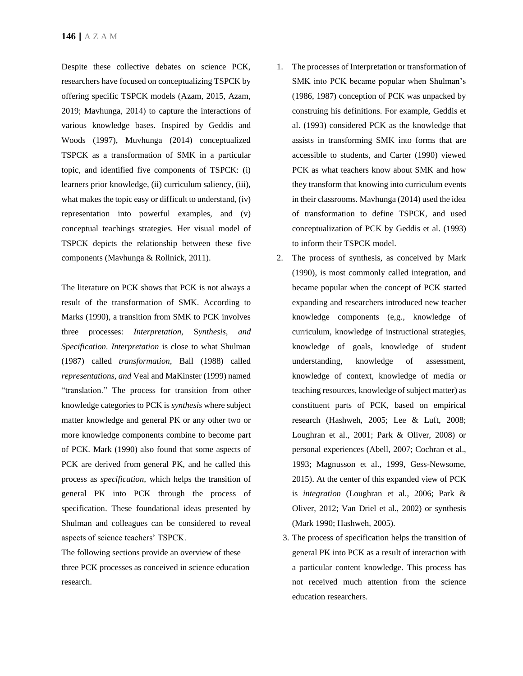Despite these collective debates on science PCK, researchers have focused on conceptualizing TSPCK by offering specific TSPCK models (Azam, 2015, Azam, 2019; Mavhunga, 2014) to capture the interactions of various knowledge bases. Inspired by Geddis and Woods (1997), Muvhunga (2014) conceptualized TSPCK as a transformation of SMK in a particular topic, and identified five components of TSPCK: (i) learners prior knowledge, (ii) curriculum saliency, (iii), what makes the topic easy or difficult to understand, (iv) representation into powerful examples, and (v) conceptual teachings strategies. Her visual model of TSPCK depicts the relationship between these five components (Mavhunga & Rollnick, 2011).

The literature on PCK shows that PCK is not always a result of the transformation of SMK. According to Marks (1990), a transition from SMK to PCK involves three processes: *Interpretation,* S*ynthesis, and Specification. Interpretation* is close to what Shulman (1987) called *transformation,* Ball (1988) called *representations, and* Veal and MaKinster (1999) named "translation." The process for transition from other knowledge categories to PCK is *synthesis* where subject matter knowledge and general PK or any other two or more knowledge components combine to become part of PCK. Mark (1990) also found that some aspects of PCK are derived from general PK, and he called this process as *specification,* which helps the transition of general PK into PCK through the process of specification. These foundational ideas presented by Shulman and colleagues can be considered to reveal aspects of science teachers' TSPCK.

The following sections provide an overview of these three PCK processes as conceived in science education research.

- 1. The processes of Interpretation or transformation of SMK into PCK became popular when Shulman's (1986, 1987) conception of PCK was unpacked by construing his definitions. For example, Geddis et al. (1993) considered PCK as the knowledge that assists in transforming SMK into forms that are accessible to students, and Carter (1990) viewed PCK as what teachers know about SMK and how they transform that knowing into curriculum events in their classrooms. Mavhunga (2014) used the idea of transformation to define TSPCK, and used conceptualization of PCK by Geddis et al. (1993) to inform their TSPCK model.
- 2. The process of synthesis, as conceived by Mark (1990), is most commonly called integration, and became popular when the concept of PCK started expanding and researchers introduced new teacher knowledge components (e,g., knowledge of curriculum, knowledge of instructional strategies, knowledge of goals, knowledge of student understanding, knowledge of assessment, knowledge of context, knowledge of media or teaching resources, knowledge of subject matter) as constituent parts of PCK, based on empirical research (Hashweh, 2005; Lee & Luft, 2008; Loughran et al., 2001; Park & Oliver, 2008) or personal experiences (Abell, 2007; Cochran et al., 1993; Magnusson et al., 1999, Gess-Newsome, 2015). At the center of this expanded view of PCK is *integration* (Loughran et al., 2006; Park & Oliver, 2012; Van Driel et al., 2002) or synthesis (Mark 1990; Hashweh, 2005).
	- 3. The process of specification helps the transition of general PK into PCK as a result of interaction with a particular content knowledge. This process has not received much attention from the science education researchers.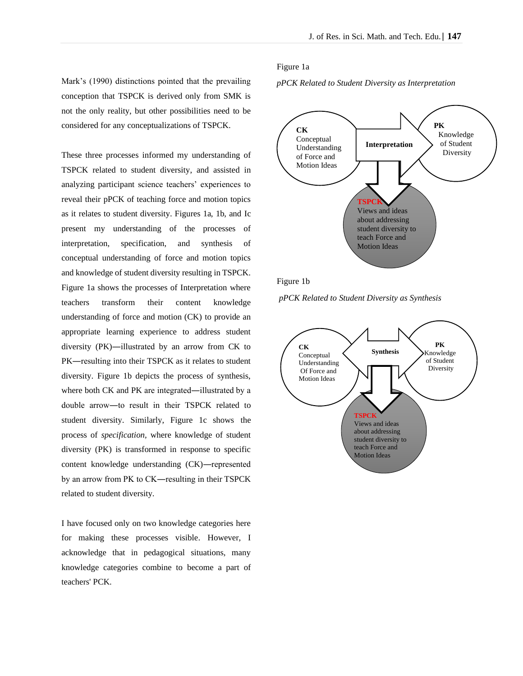Mark's (1990) distinctions pointed that the prevailing conception that TSPCK is derived only from SMK is not the only reality, but other possibilities need to be considered for any conceptualizations of TSPCK.

These three processes informed my understanding of TSPCK related to student diversity, and assisted in analyzing participant science teachers' experiences to reveal their pPCK of teaching force and motion topics as it relates to student diversity. Figures 1a, 1b, and Ic present my understanding of the processes of interpretation, specification, and synthesis of conceptual understanding of force and motion topics and knowledge of student diversity resulting in TSPCK. Figure 1a shows the processes of Interpretation where teachers transform their content knowledge understanding of force and motion (CK) to provide an appropriate learning experience to address student diversity (PK)―illustrated by an arrow from CK to PK―resulting into their TSPCK as it relates to student diversity. Figure 1b depicts the process of synthesis, where both CK and PK are integrated—illustrated by a double arrow―to result in their TSPCK related to student diversity. Similarly, Figure 1c shows the process of *specification,* where knowledge of student diversity (PK) is transformed in response to specific content knowledge understanding (CK)―represented by an arrow from PK to CK―resulting in their TSPCK related to student diversity.

I have focused only on two knowledge categories here for making these processes visible. However, I acknowledge that in pedagogical situations, many knowledge categories combine to become a part of teachers' PCK.

### Figure 1a

*pPCK Related to Student Diversity as Interpretation*



Figure 1b

*pPCK Related to Student Diversity as Synthesis*

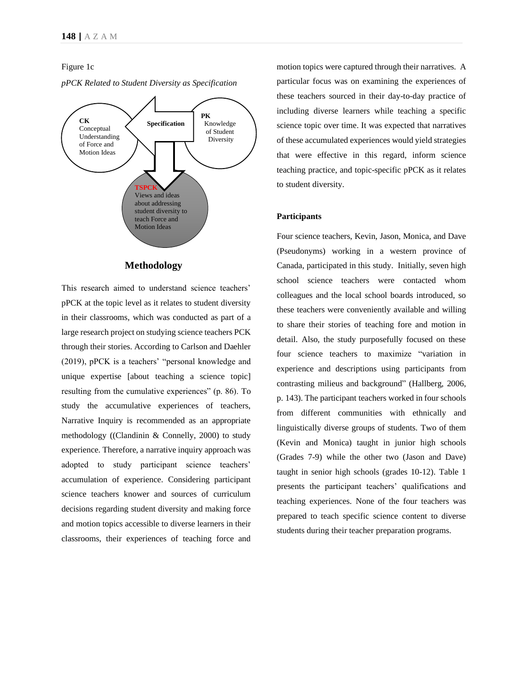### Figure 1c



*pPCK Related to Student Diversity as Specification* 

# **Methodology**

This research aimed to understand science teachers' pPCK at the topic level as it relates to student diversity in their classrooms, which was conducted as part of a large research project on studying science teachers PCK through their stories. According to Carlson and Daehler (2019), pPCK is a teachers' "personal knowledge and unique expertise [about teaching a science topic] resulting from the cumulative experiences" (p. 86). To study the accumulative experiences of teachers, Narrative Inquiry is recommended as an appropriate methodology ((Clandinin & Connelly, 2000) to study experience. Therefore, a narrative inquiry approach was adopted to study participant science teachers' accumulation of experience. Considering participant science teachers knower and sources of curriculum decisions regarding student diversity and making force and motion topics accessible to diverse learners in their classrooms, their experiences of teaching force and

motion topics were captured through their narratives. A particular focus was on examining the experiences of these teachers sourced in their day-to-day practice of including diverse learners while teaching a specific science topic over time. It was expected that narratives of these accumulated experiences would yield strategies that were effective in this regard, inform science teaching practice, and topic-specific pPCK as it relates to student diversity.

### **Participants**

Four science teachers, Kevin, Jason, Monica, and Dave (Pseudonyms) working in a western province of Canada, participated in this study. Initially, seven high school science teachers were contacted whom colleagues and the local school boards introduced, so these teachers were conveniently available and willing to share their stories of teaching fore and motion in detail. Also, the study purposefully focused on these four science teachers to maximize "variation in experience and descriptions using participants from contrasting milieus and background" (Hallberg, 2006, p. 143). The participant teachers worked in four schools from different communities with ethnically and linguistically diverse groups of students. Two of them (Kevin and Monica) taught in junior high schools (Grades 7-9) while the other two (Jason and Dave) taught in senior high schools (grades 10-12). Table 1 presents the participant teachers' qualifications and teaching experiences. None of the four teachers was prepared to teach specific science content to diverse students during their teacher preparation programs.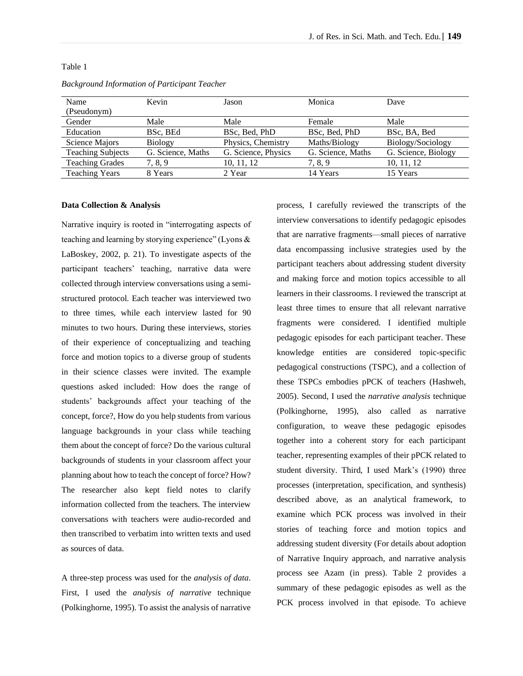| Name                     | Kevin             | Jason               | Monica            | Dave                |
|--------------------------|-------------------|---------------------|-------------------|---------------------|
| (Pseudonym)              |                   |                     |                   |                     |
| Gender                   | Male              | Male                | Female            | Male                |
| Education                | BSc, BEd          | BSc, Bed, PhD       | BSc, Bed, PhD     | BSc, BA, Bed        |
| Science Majors           | <b>Biology</b>    | Physics, Chemistry  | Maths/Biology     | Biology/Sociology   |
| <b>Teaching Subjects</b> | G. Science, Maths | G. Science, Physics | G. Science, Maths | G. Science, Biology |
| <b>Teaching Grades</b>   | 7, 8, 9           | 10, 11, 12          | 7, 8, 9           | 10, 11, 12          |
| <b>Teaching Years</b>    | 8 Years           | 2 Year              | 14 Years          | 15 Years            |

### *Background Information of Participant Teacher*

#### **Data Collection & Analysis**

Table 1

Narrative inquiry is rooted in "interrogating aspects of teaching and learning by storying experience" (Lyons & LaBoskey, 2002, p. 21). To investigate aspects of the participant teachers' teaching, narrative data were collected through interview conversations using a semistructured protocol. Each teacher was interviewed two to three times, while each interview lasted for 90 minutes to two hours. During these interviews, stories of their experience of conceptualizing and teaching force and motion topics to a diverse group of students in their science classes were invited. The example questions asked included: How does the range of students' backgrounds affect your teaching of the concept, force?, How do you help students from various language backgrounds in your class while teaching them about the concept of force? Do the various cultural backgrounds of students in your classroom affect your planning about how to teach the concept of force? How? The researcher also kept field notes to clarify information collected from the teachers. The interview conversations with teachers were audio-recorded and then transcribed to verbatim into written texts and used as sources of data.

A three-step process was used for the *analysis of data*. First, I used the *analysis of narrative* technique (Polkinghorne, 1995). To assist the analysis of narrative

process, I carefully reviewed the transcripts of the interview conversations to identify pedagogic episodes that are narrative fragments—small pieces of narrative data encompassing inclusive strategies used by the participant teachers about addressing student diversity and making force and motion topics accessible to all learners in their classrooms. I reviewed the transcript at least three times to ensure that all relevant narrative fragments were considered. I identified multiple pedagogic episodes for each participant teacher. These knowledge entities are considered topic-specific pedagogical constructions (TSPC), and a collection of these TSPCs embodies pPCK of teachers (Hashweh, 2005). Second, I used the *narrative analysis* technique (Polkinghorne, 1995), also called as narrative configuration, to weave these pedagogic episodes together into a coherent story for each participant teacher, representing examples of their pPCK related to student diversity. Third, I used Mark's (1990) three processes (interpretation, specification, and synthesis) described above, as an analytical framework, to examine which PCK process was involved in their stories of teaching force and motion topics and addressing student diversity (For details about adoption of Narrative Inquiry approach, and narrative analysis process see Azam (in press). Table 2 provides a summary of these pedagogic episodes as well as the PCK process involved in that episode. To achieve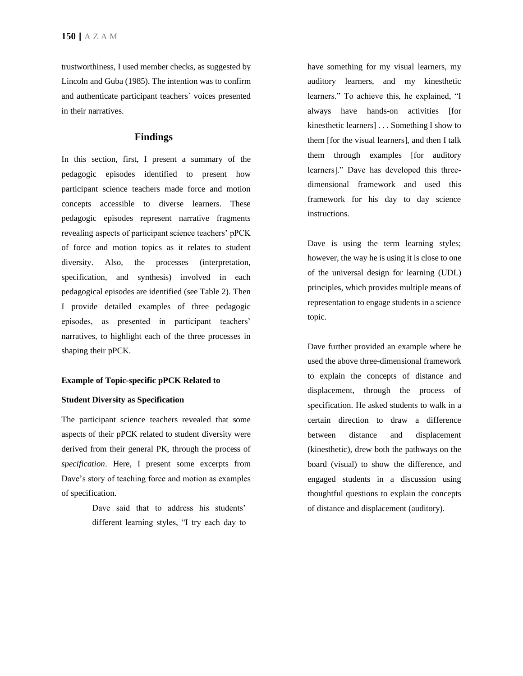trustworthiness, I used member checks, as suggested by Lincoln and Guba (1985). The intention was to confirm and authenticate participant teachers` voices presented in their narratives.

# **Findings**

In this section, first, I present a summary of the pedagogic episodes identified to present how participant science teachers made force and motion concepts accessible to diverse learners. These pedagogic episodes represent narrative fragments revealing aspects of participant science teachers' pPCK of force and motion topics as it relates to student diversity. Also, the processes (interpretation, specification, and synthesis) involved in each pedagogical episodes are identified (see Table 2). Then I provide detailed examples of three pedagogic episodes, as presented in participant teachers' narratives, to highlight each of the three processes in shaping their pPCK.

#### **Example of Topic-specific pPCK Related to**

### **Student Diversity as Specification**

The participant science teachers revealed that some aspects of their pPCK related to student diversity were derived from their general PK, through the process of *specification*. Here, I present some excerpts from Dave's story of teaching force and motion as examples of specification.

> Dave said that to address his students' different learning styles, "I try each day to

have something for my visual learners, my auditory learners, and my kinesthetic learners." To achieve this, he explained, "I always have hands-on activities [for kinesthetic learners] . . . Something I show to them [for the visual learners], and then I talk them through examples [for auditory learners]." Dave has developed this threedimensional framework and used this framework for his day to day science instructions.

Dave is using the term learning styles; however, the way he is using it is close to one of the universal design for learning (UDL) principles, which provides multiple means of representation to engage students in a science topic.

Dave further provided an example where he used the above three-dimensional framework to explain the concepts of distance and displacement, through the process of specification. He asked students to walk in a certain direction to draw a difference between distance and displacement (kinesthetic), drew both the pathways on the board (visual) to show the difference, and engaged students in a discussion using thoughtful questions to explain the concepts of distance and displacement (auditory).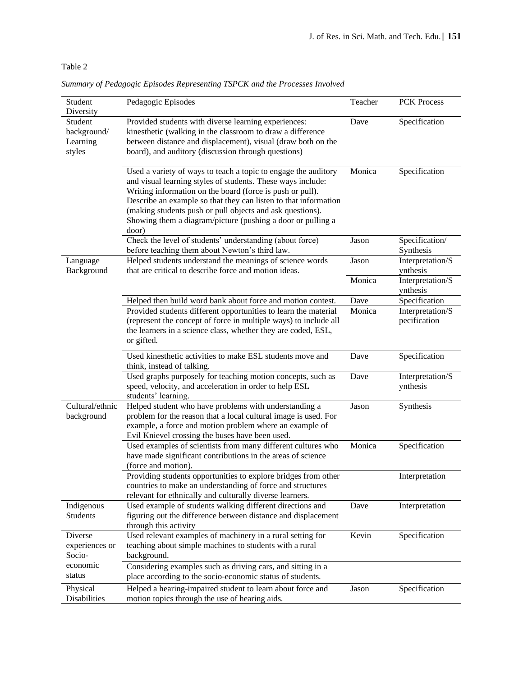# Table 2

| Specification<br>Student<br>Provided students with diverse learning experiences:<br>Dave<br>kinesthetic (walking in the classroom to draw a difference<br>background/<br>between distance and displacement), visual (draw both on the<br>Learning<br>board), and auditory (discussion through questions)<br>styles<br>Specification<br>Used a variety of ways to teach a topic to engage the auditory<br>Monica<br>and visual learning styles of students. These ways include:<br>Writing information on the board (force is push or pull).<br>Describe an example so that they can listen to that information<br>(making students push or pull objects and ask questions).<br>Showing them a diagram/picture (pushing a door or pulling a<br>door)<br>Check the level of students' understanding (about force)<br>Jason<br>before teaching them about Newton's third law.<br>Synthesis<br>Helped students understand the meanings of science words<br>Jason<br>Language<br>Background<br>that are critical to describe force and motion ideas.<br>ynthesis<br>Monica<br>ynthesis<br>Specification<br>Helped then build word bank about force and motion contest.<br>Dave<br>Provided students different opportunities to learn the material<br>Monica<br>(represent the concept of force in multiple ways) to include all<br>pecification<br>the learners in a science class, whether they are coded, ESL,<br>or gifted.<br>Used kinesthetic activities to make ESL students move and<br>Specification<br>Dave<br>think, instead of talking.<br>Used graphs purposely for teaching motion concepts, such as<br>Dave<br>speed, velocity, and acceleration in order to help ESL<br>ynthesis<br>students' learning.<br>Cultural/ethnic<br>Helped student who have problems with understanding a<br>Synthesis<br>Jason<br>background<br>problem for the reason that a local cultural image is used. For<br>example, a force and motion problem where an example of<br>Evil Knievel crossing the buses have been used.<br>Specification<br>Used examples of scientists from many different cultures who<br>Monica<br>have made significant contributions in the areas of science<br>(force and motion).<br>Providing students opportunities to explore bridges from other | Student<br>Diversity | Pedagogic Episodes                                         | Teacher | <b>PCK Process</b> |
|-----------------------------------------------------------------------------------------------------------------------------------------------------------------------------------------------------------------------------------------------------------------------------------------------------------------------------------------------------------------------------------------------------------------------------------------------------------------------------------------------------------------------------------------------------------------------------------------------------------------------------------------------------------------------------------------------------------------------------------------------------------------------------------------------------------------------------------------------------------------------------------------------------------------------------------------------------------------------------------------------------------------------------------------------------------------------------------------------------------------------------------------------------------------------------------------------------------------------------------------------------------------------------------------------------------------------------------------------------------------------------------------------------------------------------------------------------------------------------------------------------------------------------------------------------------------------------------------------------------------------------------------------------------------------------------------------------------------------------------------------------------------------------------------------------------------------------------------------------------------------------------------------------------------------------------------------------------------------------------------------------------------------------------------------------------------------------------------------------------------------------------------------------------------------------------------------------------------------------------------------------------------------|----------------------|------------------------------------------------------------|---------|--------------------|
|                                                                                                                                                                                                                                                                                                                                                                                                                                                                                                                                                                                                                                                                                                                                                                                                                                                                                                                                                                                                                                                                                                                                                                                                                                                                                                                                                                                                                                                                                                                                                                                                                                                                                                                                                                                                                                                                                                                                                                                                                                                                                                                                                                                                                                                                       |                      |                                                            |         |                    |
|                                                                                                                                                                                                                                                                                                                                                                                                                                                                                                                                                                                                                                                                                                                                                                                                                                                                                                                                                                                                                                                                                                                                                                                                                                                                                                                                                                                                                                                                                                                                                                                                                                                                                                                                                                                                                                                                                                                                                                                                                                                                                                                                                                                                                                                                       |                      |                                                            |         |                    |
|                                                                                                                                                                                                                                                                                                                                                                                                                                                                                                                                                                                                                                                                                                                                                                                                                                                                                                                                                                                                                                                                                                                                                                                                                                                                                                                                                                                                                                                                                                                                                                                                                                                                                                                                                                                                                                                                                                                                                                                                                                                                                                                                                                                                                                                                       |                      |                                                            |         | Specification/     |
|                                                                                                                                                                                                                                                                                                                                                                                                                                                                                                                                                                                                                                                                                                                                                                                                                                                                                                                                                                                                                                                                                                                                                                                                                                                                                                                                                                                                                                                                                                                                                                                                                                                                                                                                                                                                                                                                                                                                                                                                                                                                                                                                                                                                                                                                       |                      |                                                            |         | Interpretation/S   |
|                                                                                                                                                                                                                                                                                                                                                                                                                                                                                                                                                                                                                                                                                                                                                                                                                                                                                                                                                                                                                                                                                                                                                                                                                                                                                                                                                                                                                                                                                                                                                                                                                                                                                                                                                                                                                                                                                                                                                                                                                                                                                                                                                                                                                                                                       |                      |                                                            |         | Interpretation/S   |
|                                                                                                                                                                                                                                                                                                                                                                                                                                                                                                                                                                                                                                                                                                                                                                                                                                                                                                                                                                                                                                                                                                                                                                                                                                                                                                                                                                                                                                                                                                                                                                                                                                                                                                                                                                                                                                                                                                                                                                                                                                                                                                                                                                                                                                                                       |                      |                                                            |         | Interpretation/S   |
|                                                                                                                                                                                                                                                                                                                                                                                                                                                                                                                                                                                                                                                                                                                                                                                                                                                                                                                                                                                                                                                                                                                                                                                                                                                                                                                                                                                                                                                                                                                                                                                                                                                                                                                                                                                                                                                                                                                                                                                                                                                                                                                                                                                                                                                                       |                      |                                                            |         |                    |
|                                                                                                                                                                                                                                                                                                                                                                                                                                                                                                                                                                                                                                                                                                                                                                                                                                                                                                                                                                                                                                                                                                                                                                                                                                                                                                                                                                                                                                                                                                                                                                                                                                                                                                                                                                                                                                                                                                                                                                                                                                                                                                                                                                                                                                                                       |                      |                                                            |         | Interpretation/S   |
|                                                                                                                                                                                                                                                                                                                                                                                                                                                                                                                                                                                                                                                                                                                                                                                                                                                                                                                                                                                                                                                                                                                                                                                                                                                                                                                                                                                                                                                                                                                                                                                                                                                                                                                                                                                                                                                                                                                                                                                                                                                                                                                                                                                                                                                                       |                      |                                                            |         |                    |
|                                                                                                                                                                                                                                                                                                                                                                                                                                                                                                                                                                                                                                                                                                                                                                                                                                                                                                                                                                                                                                                                                                                                                                                                                                                                                                                                                                                                                                                                                                                                                                                                                                                                                                                                                                                                                                                                                                                                                                                                                                                                                                                                                                                                                                                                       |                      |                                                            |         |                    |
| relevant for ethnically and culturally diverse learners.                                                                                                                                                                                                                                                                                                                                                                                                                                                                                                                                                                                                                                                                                                                                                                                                                                                                                                                                                                                                                                                                                                                                                                                                                                                                                                                                                                                                                                                                                                                                                                                                                                                                                                                                                                                                                                                                                                                                                                                                                                                                                                                                                                                                              |                      | countries to make an understanding of force and structures |         | Interpretation     |
| Used example of students walking different directions and<br>Indigenous<br>Dave<br>Students<br>figuring out the difference between distance and displacement<br>through this activity                                                                                                                                                                                                                                                                                                                                                                                                                                                                                                                                                                                                                                                                                                                                                                                                                                                                                                                                                                                                                                                                                                                                                                                                                                                                                                                                                                                                                                                                                                                                                                                                                                                                                                                                                                                                                                                                                                                                                                                                                                                                                 |                      |                                                            |         | Interpretation     |
| Specification<br>Used relevant examples of machinery in a rural setting for<br>Kevin<br>Diverse<br>teaching about simple machines to students with a rural<br>experiences or<br>Socio-<br>background.<br>economic<br>Considering examples such as driving cars, and sitting in a                                                                                                                                                                                                                                                                                                                                                                                                                                                                                                                                                                                                                                                                                                                                                                                                                                                                                                                                                                                                                                                                                                                                                                                                                                                                                                                                                                                                                                                                                                                                                                                                                                                                                                                                                                                                                                                                                                                                                                                      |                      |                                                            |         |                    |
| status<br>place according to the socio-economic status of students.<br>Specification<br>Helped a hearing-impaired student to learn about force and<br>Physical<br>Jason<br>motion topics through the use of hearing aids.<br>Disabilities                                                                                                                                                                                                                                                                                                                                                                                                                                                                                                                                                                                                                                                                                                                                                                                                                                                                                                                                                                                                                                                                                                                                                                                                                                                                                                                                                                                                                                                                                                                                                                                                                                                                                                                                                                                                                                                                                                                                                                                                                             |                      |                                                            |         |                    |

*Summary of Pedagogic Episodes Representing TSPCK and the Processes Involved*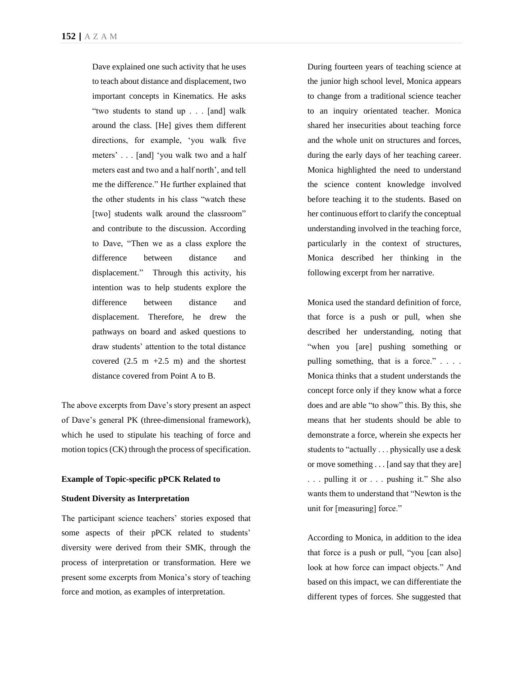Dave explained one such activity that he uses to teach about distance and displacement, two important concepts in Kinematics. He asks "two students to stand up . . . [and] walk around the class. [He] gives them different directions, for example, 'you walk five meters' . . . [and] 'you walk two and a half meters east and two and a half north', and tell me the difference." He further explained that the other students in his class "watch these [two] students walk around the classroom" and contribute to the discussion. According to Dave, "Then we as a class explore the difference between distance and displacement." Through this activity, his intention was to help students explore the difference between distance and displacement. Therefore, he drew the pathways on board and asked questions to draw students' attention to the total distance covered  $(2.5 \text{ m} +2.5 \text{ m})$  and the shortest distance covered from Point A to B.

The above excerpts from Dave's story present an aspect of Dave's general PK (three-dimensional framework), which he used to stipulate his teaching of force and motion topics (CK) through the process of specification.

#### **Example of Topic-specific pPCK Related to**

### **Student Diversity as Interpretation**

The participant science teachers' stories exposed that some aspects of their pPCK related to students' diversity were derived from their SMK, through the process of interpretation or transformation. Here we present some excerpts from Monica's story of teaching force and motion, as examples of interpretation.

During fourteen years of teaching science at the junior high school level, Monica appears to change from a traditional science teacher to an inquiry orientated teacher. Monica shared her insecurities about teaching force and the whole unit on structures and forces, during the early days of her teaching career. Monica highlighted the need to understand the science content knowledge involved before teaching it to the students. Based on her continuous effort to clarify the conceptual understanding involved in the teaching force, particularly in the context of structures, Monica described her thinking in the following excerpt from her narrative.

Monica used the standard definition of force, that force is a push or pull, when she described her understanding, noting that "when you [are] pushing something or pulling something, that is a force." . . . . Monica thinks that a student understands the concept force only if they know what a force does and are able "to show" this. By this, she means that her students should be able to demonstrate a force, wherein she expects her students to "actually . . . physically use a desk or move something . . . [and say that they are] . . . pulling it or . . . pushing it." She also wants them to understand that "Newton is the unit for [measuring] force."

According to Monica, in addition to the idea that force is a push or pull, "you [can also] look at how force can impact objects." And based on this impact, we can differentiate the different types of forces. She suggested that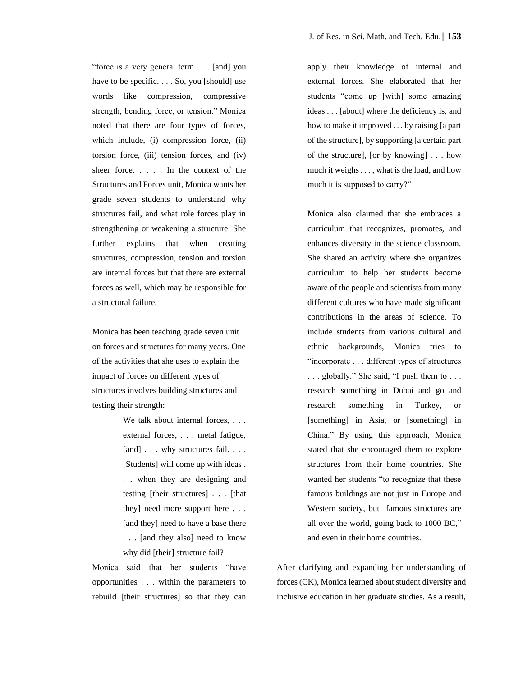"force is a very general term . . . [and] you have to be specific. . . . So, you [should] use words like compression, compressive strength, bending force, or tension." Monica noted that there are four types of forces, which include, (i) compression force, (ii) torsion force, (iii) tension forces, and (iv) sheer force. . . . . In the context of the Structures and Forces unit, Monica wants her grade seven students to understand why structures fail, and what role forces play in strengthening or weakening a structure. She further explains that when creating structures, compression, tension and torsion are internal forces but that there are external forces as well, which may be responsible for a structural failure.

Monica has been teaching grade seven unit on forces and structures for many years. One of the activities that she uses to explain the impact of forces on different types of structures involves building structures and testing their strength:

> We talk about internal forces, ... external forces, . . . metal fatigue, [and] . . . why structures fail. . . . [Students] will come up with ideas . . . when they are designing and testing [their structures] . . . [that they] need more support here . . . [and they] need to have a base there . . . [and they also] need to know why did [their] structure fail?

Monica said that her students "have opportunities . . . within the parameters to rebuild [their structures] so that they can apply their knowledge of internal and external forces. She elaborated that her students "come up [with] some amazing ideas . . . [about] where the deficiency is, and how to make it improved . . . by raising [a part of the structure], by supporting [a certain part of the structure], [or by knowing] . . . how much it weighs . . . , what is the load, and how much it is supposed to carry?"

Monica also claimed that she embraces a curriculum that recognizes, promotes, and enhances diversity in the science classroom. She shared an activity where she organizes curriculum to help her students become aware of the people and scientists from many different cultures who have made significant contributions in the areas of science. To include students from various cultural and ethnic backgrounds, Monica tries to "incorporate . . . different types of structures . . . globally." She said, "I push them to . . . research something in Dubai and go and research something in Turkey, or [something] in Asia, or [something] in China." By using this approach, Monica stated that she encouraged them to explore structures from their home countries. She wanted her students "to recognize that these famous buildings are not just in Europe and Western society, but famous structures are all over the world, going back to 1000 BC," and even in their home countries.

After clarifying and expanding her understanding of forces (CK), Monica learned about student diversity and inclusive education in her graduate studies. As a result,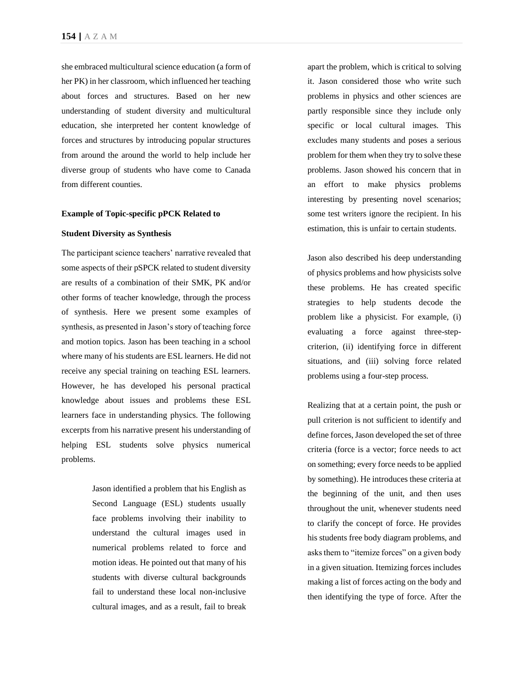she embraced multicultural science education (a form of her PK) in her classroom, which influenced her teaching about forces and structures. Based on her new understanding of student diversity and multicultural education, she interpreted her content knowledge of forces and structures by introducing popular structures from around the around the world to help include her diverse group of students who have come to Canada from different counties.

### **Example of Topic-specific pPCK Related to**

#### **Student Diversity as Synthesis**

The participant science teachers' narrative revealed that some aspects of their pSPCK related to student diversity are results of a combination of their SMK, PK and/or other forms of teacher knowledge, through the process of synthesis. Here we present some examples of synthesis, as presented in Jason's story of teaching force and motion topics. Jason has been teaching in a school where many of his students are ESL learners. He did not receive any special training on teaching ESL learners. However, he has developed his personal practical knowledge about issues and problems these ESL learners face in understanding physics. The following excerpts from his narrative present his understanding of helping ESL students solve physics numerical problems.

> Jason identified a problem that his English as Second Language (ESL) students usually face problems involving their inability to understand the cultural images used in numerical problems related to force and motion ideas. He pointed out that many of his students with diverse cultural backgrounds fail to understand these local non-inclusive cultural images, and as a result, fail to break

apart the problem, which is critical to solving it. Jason considered those who write such problems in physics and other sciences are partly responsible since they include only specific or local cultural images. This excludes many students and poses a serious problem for them when they try to solve these problems. Jason showed his concern that in an effort to make physics problems interesting by presenting novel scenarios; some test writers ignore the recipient. In his estimation, this is unfair to certain students.

Jason also described his deep understanding of physics problems and how physicists solve these problems. He has created specific strategies to help students decode the problem like a physicist. For example, (i) evaluating a force against three-stepcriterion, (ii) identifying force in different situations, and (iii) solving force related problems using a four-step process.

Realizing that at a certain point, the push or pull criterion is not sufficient to identify and define forces, Jason developed the set of three criteria (force is a vector; force needs to act on something; every force needs to be applied by something). He introduces these criteria at the beginning of the unit, and then uses throughout the unit, whenever students need to clarify the concept of force. He provides his students free body diagram problems, and asks them to "itemize forces" on a given body in a given situation. Itemizing forces includes making a list of forces acting on the body and then identifying the type of force. After the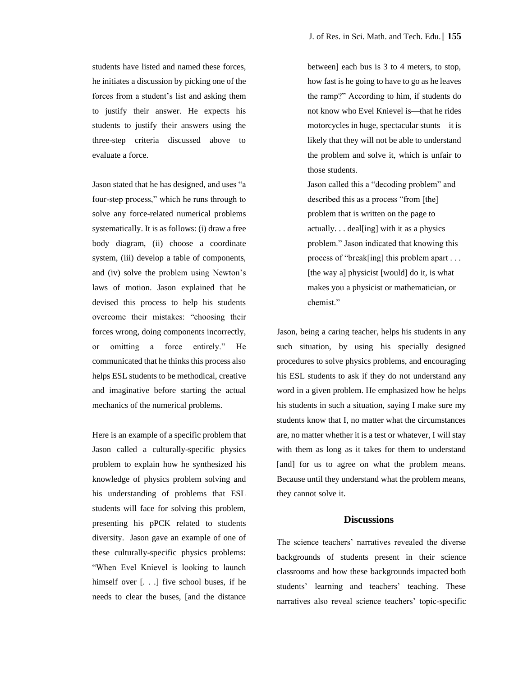students have listed and named these forces, he initiates a discussion by picking one of the forces from a student's list and asking them to justify their answer. He expects his students to justify their answers using the three-step criteria discussed above to evaluate a force.

Jason stated that he has designed, and uses "a four-step process," which he runs through to solve any force-related numerical problems systematically. It is as follows: (i) draw a free body diagram, (ii) choose a coordinate system, (iii) develop a table of components, and (iv) solve the problem using Newton's laws of motion. Jason explained that he devised this process to help his students overcome their mistakes: "choosing their forces wrong, doing components incorrectly, or omitting a force entirely." He communicated that he thinks this process also helps ESL students to be methodical, creative and imaginative before starting the actual mechanics of the numerical problems.

Here is an example of a specific problem that Jason called a culturally-specific physics problem to explain how he synthesized his knowledge of physics problem solving and his understanding of problems that ESL students will face for solving this problem, presenting his pPCK related to students diversity. Jason gave an example of one of these culturally-specific physics problems: "When Evel Knievel is looking to launch himself over [. . .] five school buses, if he needs to clear the buses, [and the distance

between] each bus is 3 to 4 meters, to stop, how fast is he going to have to go as he leaves the ramp?" According to him, if students do not know who Evel Knievel is—that he rides motorcycles in huge, spectacular stunts—it is likely that they will not be able to understand the problem and solve it, which is unfair to those students.

Jason called this a "decoding problem" and described this as a process "from [the] problem that is written on the page to actually. . . deal[ing] with it as a physics problem." Jason indicated that knowing this process of "break[ing] this problem apart . . . [the way a] physicist [would] do it, is what makes you a physicist or mathematician, or chemist."

Jason, being a caring teacher, helps his students in any such situation, by using his specially designed procedures to solve physics problems, and encouraging his ESL students to ask if they do not understand any word in a given problem. He emphasized how he helps his students in such a situation, saying I make sure my students know that I, no matter what the circumstances are, no matter whether it is a test or whatever, I will stay with them as long as it takes for them to understand [and] for us to agree on what the problem means. Because until they understand what the problem means, they cannot solve it.

### **Discussions**

The science teachers' narratives revealed the diverse backgrounds of students present in their science classrooms and how these backgrounds impacted both students' learning and teachers' teaching. These narratives also reveal science teachers' topic-specific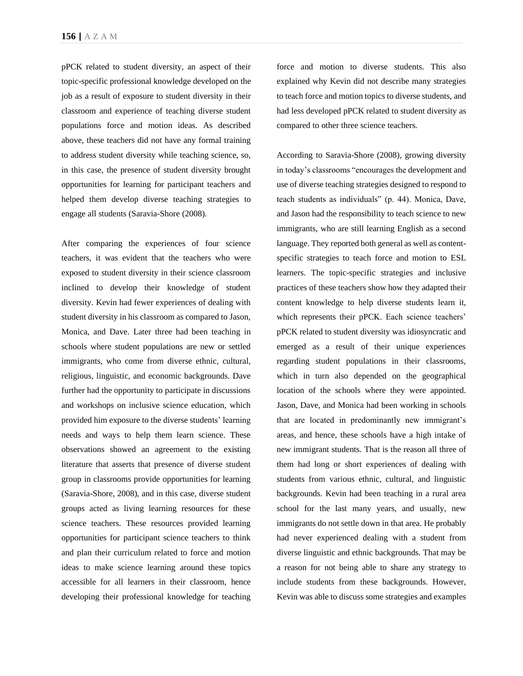pPCK related to student diversity, an aspect of their topic-specific professional knowledge developed on the job as a result of exposure to student diversity in their classroom and experience of teaching diverse student populations force and motion ideas. As described above, these teachers did not have any formal training to address student diversity while teaching science, so, in this case, the presence of student diversity brought opportunities for learning for participant teachers and helped them develop diverse teaching strategies to engage all students (Saravia-Shore (2008).

After comparing the experiences of four science teachers, it was evident that the teachers who were exposed to student diversity in their science classroom inclined to develop their knowledge of student diversity. Kevin had fewer experiences of dealing with student diversity in his classroom as compared to Jason, Monica, and Dave. Later three had been teaching in schools where student populations are new or settled immigrants, who come from diverse ethnic, cultural, religious, linguistic, and economic backgrounds. Dave further had the opportunity to participate in discussions and workshops on inclusive science education, which provided him exposure to the diverse students' learning needs and ways to help them learn science. These observations showed an agreement to the existing literature that asserts that presence of diverse student group in classrooms provide opportunities for learning (Saravia-Shore, 2008), and in this case, diverse student groups acted as living learning resources for these science teachers. These resources provided learning opportunities for participant science teachers to think and plan their curriculum related to force and motion ideas to make science learning around these topics accessible for all learners in their classroom, hence developing their professional knowledge for teaching

force and motion to diverse students. This also explained why Kevin did not describe many strategies to teach force and motion topics to diverse students, and had less developed pPCK related to student diversity as compared to other three science teachers.

According to Saravia-Shore (2008), growing diversity in today's classrooms "encourages the development and use of diverse teaching strategies designed to respond to teach students as individuals" (p. 44). Monica, Dave, and Jason had the responsibility to teach science to new immigrants, who are still learning English as a second language. They reported both general as well as contentspecific strategies to teach force and motion to ESL learners. The topic-specific strategies and inclusive practices of these teachers show how they adapted their content knowledge to help diverse students learn it, which represents their pPCK. Each science teachers' pPCK related to student diversity was idiosyncratic and emerged as a result of their unique experiences regarding student populations in their classrooms, which in turn also depended on the geographical location of the schools where they were appointed. Jason, Dave, and Monica had been working in schools that are located in predominantly new immigrant's areas, and hence, these schools have a high intake of new immigrant students. That is the reason all three of them had long or short experiences of dealing with students from various ethnic, cultural, and linguistic backgrounds. Kevin had been teaching in a rural area school for the last many years, and usually, new immigrants do not settle down in that area. He probably had never experienced dealing with a student from diverse linguistic and ethnic backgrounds. That may be a reason for not being able to share any strategy to include students from these backgrounds. However, Kevin was able to discuss some strategies and examples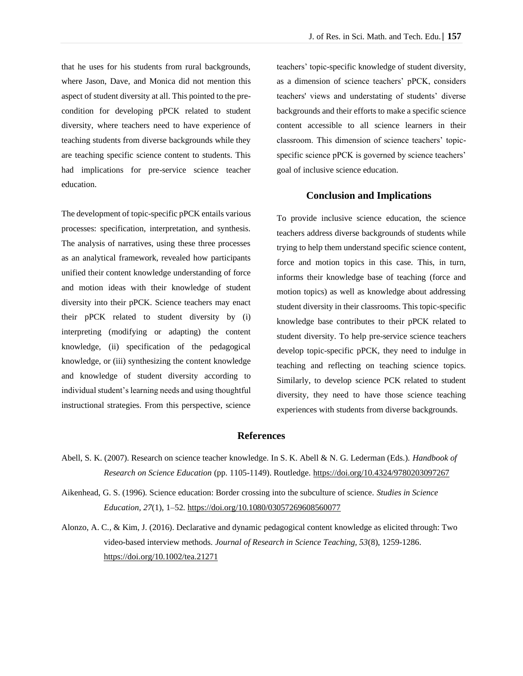that he uses for his students from rural backgrounds, where Jason, Dave, and Monica did not mention this aspect of student diversity at all. This pointed to the precondition for developing pPCK related to student diversity, where teachers need to have experience of teaching students from diverse backgrounds while they are teaching specific science content to students. This had implications for pre-service science teacher education.

The development of topic-specific pPCK entails various processes: specification, interpretation, and synthesis. The analysis of narratives, using these three processes as an analytical framework, revealed how participants unified their content knowledge understanding of force and motion ideas with their knowledge of student diversity into their pPCK. Science teachers may enact their pPCK related to student diversity by (i) interpreting (modifying or adapting) the content knowledge, (ii) specification of the pedagogical knowledge, or (iii) synthesizing the content knowledge and knowledge of student diversity according to individual student's learning needs and using thoughtful instructional strategies. From this perspective, science

teachers' topic-specific knowledge of student diversity, as a dimension of science teachers' pPCK, considers teachers' views and understating of students' diverse backgrounds and their efforts to make a specific science content accessible to all science learners in their classroom. This dimension of science teachers' topicspecific science pPCK is governed by science teachers' goal of inclusive science education.

### **Conclusion and Implications**

To provide inclusive science education, the science teachers address diverse backgrounds of students while trying to help them understand specific science content, force and motion topics in this case. This, in turn, informs their knowledge base of teaching (force and motion topics) as well as knowledge about addressing student diversity in their classrooms. This topic-specific knowledge base contributes to their pPCK related to student diversity. To help pre-service science teachers develop topic-specific pPCK, they need to indulge in teaching and reflecting on teaching science topics. Similarly, to develop science PCK related to student diversity, they need to have those science teaching experiences with students from diverse backgrounds.

# **References**

- Abell, S. K. (2007). Research on science teacher knowledge. In S. K. Abell & N. G. Lederman (Eds.). *Handbook of Research on Science Education* (pp. 1105-1149). Routledge.<https://doi.org/10.4324/9780203097267>
- Aikenhead, G. S. (1996). Science education: Border crossing into the subculture of science. *Studies in Science Education, 27*(1), 1–52.<https://doi.org/10.1080/03057269608560077>
- Alonzo, A. C., & Kim, J. (2016). Declarative and dynamic pedagogical content knowledge as elicited through: Two video-based interview methods. *Journal of Research in Science Teaching, 53*(8), 1259-1286. <https://doi.org/10.1002/tea.21271>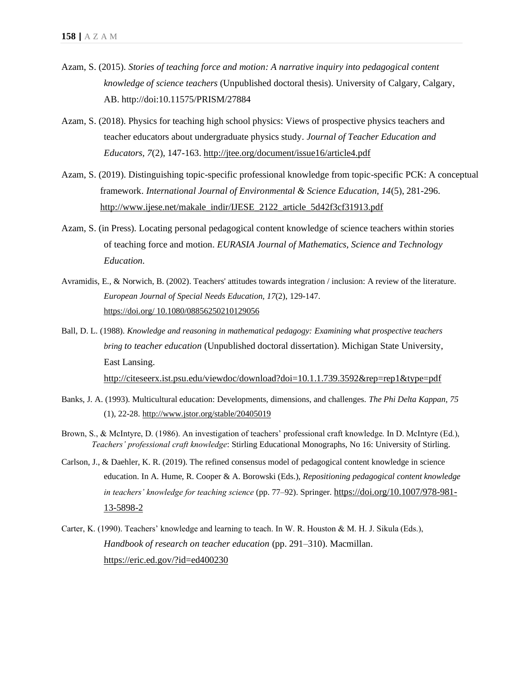- Azam, S. (2015). *Stories of teaching force and motion: A narrative inquiry into pedagogical content knowledge of science teachers* (Unpublished doctoral thesis). University of Calgary, Calgary, AB. http://doi:10.11575/PRISM/27884
- Azam, S. (2018). Physics for teaching high school physics: Views of prospective physics teachers and teacher educators about undergraduate physics study. *Journal of Teacher Education and Educators, 7*(2), 147-163.<http://jtee.org/document/issue16/article4.pdf>
- Azam, S. (2019). Distinguishing topic-specific professional knowledge from topic-specific PCK: A conceptual framework. *International Journal of Environmental & Science Education, 14*(5), 281-296. [http://www.ijese.net/makale\\_indir/IJESE\\_2122\\_article\\_5d42f3cf31913.pdf](http://www.ijese.net/makale_indir/IJESE_2122_article_5d42f3cf31913.pdf)
- Azam, S. (in Press). Locating personal pedagogical content knowledge of science teachers within stories of teaching force and motion. *EURASIA Journal of Mathematics, Science and Technology Education.*
- Avramidis, E., & Norwich, B. (2002). Teachers' attitudes towards integration / inclusion: A review of the literature. *European Journal of Special Needs Education, 17*(2), 129-147. https://doi.org/ [10.1080/08856250210129056](https://doi.org/10.1080/08856250210129056)
- Ball, D. L. (1988). *Knowledge and reasoning in mathematical pedagogy: Examining what prospective teachers bring to teacher education* (Unpublished doctoral dissertation). Michigan State University, East Lansing. <http://citeseerx.ist.psu.edu/viewdoc/download?doi=10.1.1.739.3592&rep=rep1&type=pdf>
- Banks, J. A. (1993). Multicultural education: Developments, dimensions, and challenges. *The Phi Delta Kappan, 75* (1), 22-28. http://www.jstor.org/stable/20405019
- Brown, S., & McIntyre, D. (1986). An investigation of teachers' professional craft knowledge. In D. McIntyre (Ed.), *Teachers' professional craft knowledge*: Stirling Educational Monographs, No 16: University of Stirling.
- Carlson, J., & Daehler, K. R. (2019). The refined consensus model of pedagogical content knowledge in science education. In A. Hume, R. Cooper & A. Borowski (Eds.), *Repositioning pedagogical content knowledge in teachers' knowledge for teaching science* (pp. 77–92). Springer. [https://doi.org/10.1007/978-981-](https://doi.org/10.1007/978-981-13-5898-2) [13-5898-2](https://doi.org/10.1007/978-981-13-5898-2)
- Carter, K. (1990). Teachers' knowledge and learning to teach. In W. R. Houston & M. H. J. Sikula (Eds.), *Handbook of research on teacher education* (pp. 291–310). Macmillan. <https://eric.ed.gov/?id=ed400230>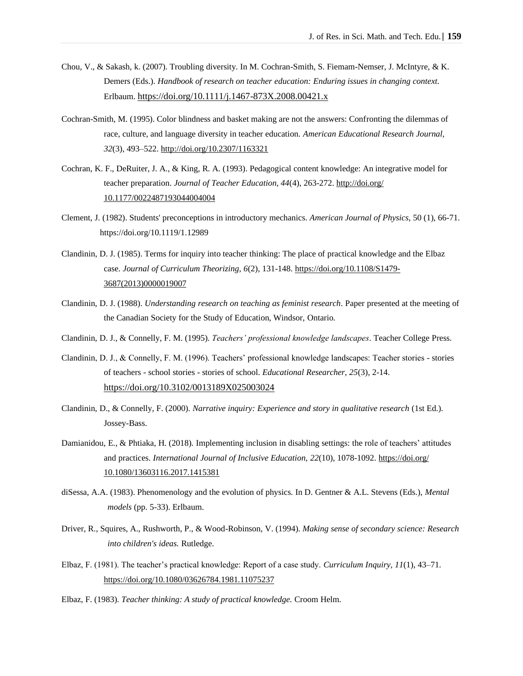- Chou, V., & Sakash, k. (2007). Troubling diversity. In M. Cochran-Smith, S. Fiemam-Nemser, J. McIntyre, & K. Demers (Eds.). *Handbook of research on teacher education: Enduring issues in changing context.* Erlbaum. <https://doi.org/10.1111/j.1467-873X.2008.00421.x>
- Cochran-Smith, M. (1995). Color blindness and basket making are not the answers: Confronting the dilemmas of race, culture, and language diversity in teacher education. *American Educational Research Journal, 32*(3), 493–522.<http://doi.org/10.2307/1163321>
- Cochran, K. F., DeRuiter, J. A., & King, R. A. (1993). Pedagogical content knowledge: An integrative model for teacher preparation. *Journal of Teacher Education, 44*(4), 263-272. http://doi.org/ 10.1177/0022487193044004004
- Clement, J. (1982). Students' preconceptions in introductory mechanics. *American Journal of Physics*, 50 (1), 66-71. <https://doi.org/10.1119/1.12989>
- Clandinin, D. J. (1985). Terms for inquiry into teacher thinking: The place of practical knowledge and the Elbaz case. *Journal of Curriculum Theorizing, 6*(2), 131-148. [https://doi.org/10.1108/S1479-](https://doi.org/10.1108/S1479-3687(2013)0000019007) [3687\(2013\)0000019007](https://doi.org/10.1108/S1479-3687(2013)0000019007)
- Clandinin, D. J. (1988). *Understanding research on teaching as feminist research*. Paper presented at the meeting of the Canadian Society for the Study of Education, Windsor, Ontario.
- Clandinin, D. J., & Connelly, F. M. (1995). *Teachers' professional knowledge landscapes*. Teacher College Press.
- Clandinin, D. J., & Connelly, F. M. (1996). Teachers' professional knowledge landscapes: Teacher stories stories of teachers - school stories - stories of school. *Educational Researcher, 25*(3), 2-14. [https://doi.org/10.3102/0013189X025003024](https://doi.org/10.3102%2F0013189X025003024)
- Clandinin, D., & Connelly, F. (2000). *Narrative inquiry: Experience and story in qualitative research* (1st Ed.). Jossey-Bass.
- Damianidou, E., & Phtiaka, H. (2018). Implementing inclusion in disabling settings: the role of teachers' attitudes and practices. *International Journal of Inclusive Education, 22*(10), 1078-1092. https://doi.org/ [10.1080/13603116.2017.1415381](https://doi.org/10.1080/13603116.2017.1415381)
- diSessa, A.A. (1983). Phenomenology and the evolution of physics. In D. Gentner & A.L. Stevens (Eds.), *Mental models* (pp. 5-33). Erlbaum.
- Driver, R., Squires, A., Rushworth, P., & Wood-Robinson, V. (1994). *Making sense of secondary science: Research into children's ideas.* Rutledge.
- Elbaz, F. (1981). The teacher's practical knowledge: Report of a case study. *Curriculum Inquiry, 11*(1), 43–71. <https://doi.org/10.1080/03626784.1981.11075237>
- Elbaz, F. (1983). *Teacher thinking: A study of practical knowledge.* Croom Helm.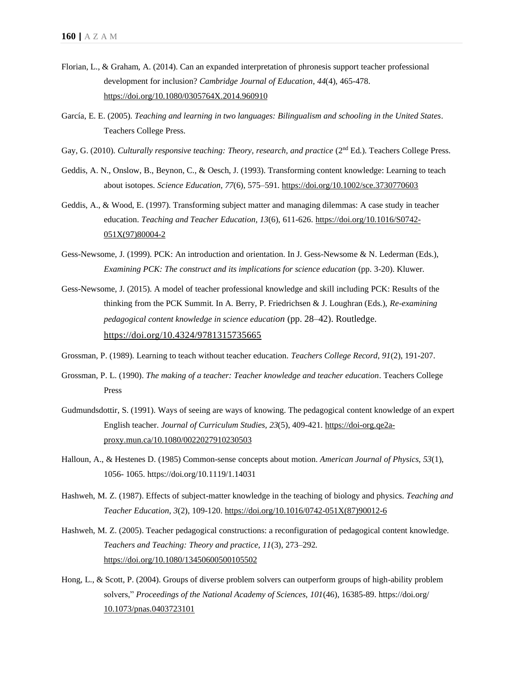- Florian, L., & Graham, A. (2014). Can an expanded interpretation of phronesis support teacher professional development for inclusion? *Cambridge Journal of Education, 44*(4), 465-478. <https://doi.org/10.1080/0305764X.2014.960910>
- García, E. E. (2005). *Teaching and learning in two languages: Bilingualism and schooling in the United States*. Teachers College Press.
- Gay, G. (2010). *Culturally responsive teaching: Theory, research, and practice* (2<sup>nd</sup> Ed.). Teachers College Press.
- Geddis, A. N., Onslow, B., Beynon, C., & Oesch, J. (1993). Transforming content knowledge: Learning to teach about isotopes. *Science Education, 77*(6), 575–591.<https://doi.org/10.1002/sce.3730770603>
- Geddis, A., & Wood, E. (1997). Transforming subject matter and managing dilemmas: A case study in teacher education. *Teaching and Teacher Education, 13*(6), 611-626. [https://doi.org/10.1016/S0742-](https://doi-org.qe2a-proxy.mun.ca/10.1016/S0742-051X(97)80004-2) [051X\(97\)80004-2](https://doi-org.qe2a-proxy.mun.ca/10.1016/S0742-051X(97)80004-2)
- Gess-Newsome, J. (1999). PCK: An introduction and orientation. In J. Gess-Newsome & N. Lederman (Eds.), *Examining PCK: The construct and its implications for science education* (pp. 3-20). Kluwer.
- Gess-Newsome, J. (2015). A model of teacher professional knowledge and skill including PCK: Results of the thinking from the PCK Summit. In A. Berry, P. Friedrichsen & J. Loughran (Eds.), *Re-examining pedagogical content knowledge in science education* (pp. 28–42). Routledge. <https://doi.org/10.4324/9781315735665>
- Grossman, P. (1989). Learning to teach without teacher education. *Teachers College Record, 91*(2), 191-207.
- Grossman, P. L. (1990). *The making of a teacher: Teacher knowledge and teacher education*. Teachers College Press
- Gudmundsdottir, S. (1991). Ways of seeing are ways of knowing. The pedagogical content knowledge of an expert English teacher. *Journal of Curriculum Studies, 23*(5), 409-421[. https://doi-org.qe2a](https://doi-org.qe2a-proxy.mun.ca/10.1080/0022027910230503)[proxy.mun.ca/10.1080/0022027910230503](https://doi-org.qe2a-proxy.mun.ca/10.1080/0022027910230503)
- Halloun, A., & Hestenes D. (1985) Common-sense concepts about motion. *American Journal of Physics, 53*(1), 1056- 1065.<https://doi.org/10.1119/1.14031>
- Hashweh, M. Z. (1987). Effects of subject-matter knowledge in the teaching of biology and physics. *Teaching and Teacher Education, 3*(2), 109-120. [https://doi.org/10.1016/0742-051X\(87\)90012-6](https://doi.org/10.1016/0742-051X(87)90012-6)
- Hashweh, M. Z. (2005). Teacher pedagogical constructions: a reconfiguration of pedagogical content knowledge. *Teachers and Teaching: Theory and practice, 11*(3), 273–292. <https://doi.org/10.1080/13450600500105502>
- Hong, L., & Scott, P. (2004). Groups of diverse problem solvers can outperform groups of high-ability problem solvers," *Proceedings of the National Academy of Sciences, 101*(46), 16385-89. https://doi.org/ [10.1073/pnas.0403723101](https://doi.org/10.1073/pnas.0403723101)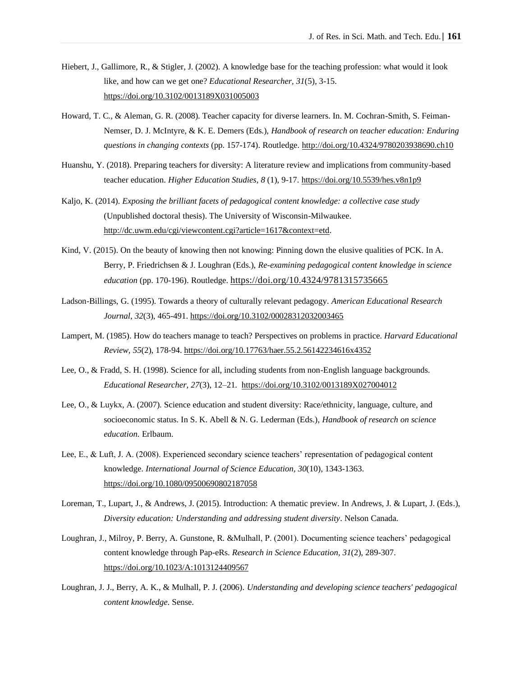- Hiebert, J., Gallimore, R., & Stigler, J. (2002). A knowledge base for the teaching profession: what would it look like, and how can we get one? *Educational Researcher, 31*(5), 3-15. [https://doi.org/10.3102/0013189X031005003](https://doi.org/10.3102%2F0013189X031005003)
- Howard, T. C., & Aleman, G. R. (2008). Teacher capacity for diverse learners. In. M. Cochran-Smith, S. Feiman-Nemser, D. J. McIntyre, & K. E. Demers (Eds.), *Handbook of research on teacher education: Enduring questions in changing contexts* (pp. 157-174). Routledge. http://doi.org/10.4324/9780203938690.ch10
- Huanshu, Y. (2018). Preparing teachers for diversity: A literature review and implications from community-based teacher education. *Higher Education Studies*, *8* (1), 9-17[. https://doi.org/10.5539/hes.v8n1p9](https://doi.org/10.5539/hes.v8n1p9)
- Kaljo, K. (2014). *Exposing the brilliant facets of pedagogical content knowledge: a collective case study* (Unpublished doctoral thesis). The University of Wisconsin-Milwaukee. [http://dc.uwm.edu/cgi/viewcontent.cgi?article=1617&context=etd.](http://dc.uwm.edu/cgi/viewcontent.cgi?article=1617&context=etd)
- Kind, V. (2015). On the beauty of knowing then not knowing: Pinning down the elusive qualities of PCK. In A. Berry, P. Friedrichsen & J. Loughran (Eds.), *Re-examining pedagogical content knowledge in science education* (pp. 170-196). Routledge. <https://doi.org/10.4324/9781315735665>
- Ladson-Billings, G. (1995). Towards a theory of culturally relevant pedagogy. *American Educational Research Journal, 32*(3), 465-491[. https://doi.org/10.3102/00028312032003465](https://doi.org/10.3102/00028312032003465)
- Lampert, M. (1985). How do teachers manage to teach? Perspectives on problems in practice. *Harvard Educational Review, 55*(2), 178-94[. https://doi.org/10.17763/haer.55.2.56142234616x4352](https://doi.org/10.17763/haer.55.2.56142234616x4352)
- Lee, O., & Fradd, S. H. (1998). Science for all, including students from non-English language backgrounds. *Educational Researcher, 27*(3), 12–21.<https://doi.org/10.3102/0013189X027004012>
- Lee, O., & Luykx, A. (2007). Science education and student diversity: Race/ethnicity, language, culture, and socioeconomic status. In S. K. Abell & N. G. Lederman (Eds.), *Handbook of research on science education.* Erlbaum.
- Lee, E., & Luft, J. A. (2008). Experienced secondary science teachers' representation of pedagogical content knowledge. *International Journal of Science Education, 30*(10), 1343-1363. <https://doi.org/10.1080/09500690802187058>
- Loreman, T., Lupart, J., & Andrews, J. (2015). Introduction: A thematic preview. In Andrews, J. & Lupart, J. (Eds.), *Diversity education: Understanding and addressing student diversity*. Nelson Canada.
- Loughran, J., Milroy, P. Berry, A. Gunstone, R. &Mulhall, P. (2001). Documenting science teachers' pedagogical content knowledge through Pap-eRs. *Research in Science Education, 31*(2), 289-307. <https://doi.org/10.1023/A:1013124409567>
- Loughran, J. J., Berry, A. K., & Mulhall, P. J. (2006). *Understanding and developing science teachers' pedagogical content knowledge*. Sense.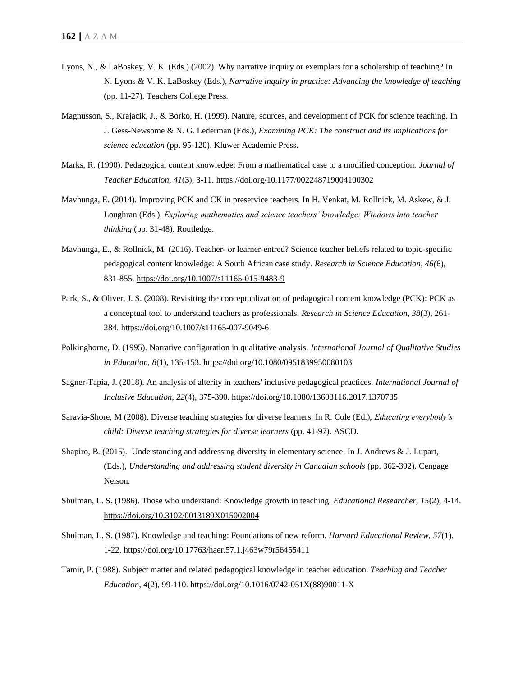- Lyons, N., & LaBoskey, V. K. (Eds.) (2002). Why narrative inquiry or exemplars for a scholarship of teaching? In N. Lyons & V. K. LaBoskey (Eds.), *Narrative inquiry in practice: Advancing the knowledge of teaching* (pp. 11-27). Teachers College Press.
- Magnusson, S., Krajacik, J., & Borko, H. (1999). Nature, sources, and development of PCK for science teaching. In J. Gess-Newsome & N. G. Lederman (Eds.), *Examining PCK: The construct and its implications for science education* (pp. 95-120). Kluwer Academic Press.
- Marks, R. (1990). Pedagogical content knowledge: From a mathematical case to a modified conception. *Journal of Teacher Education, 41*(3), 3-11. [https://doi.org/10.1177/002248719004100302](https://doi.org/10.1177%2F002248719004100302)
- Mavhunga, E. (2014). Improving PCK and CK in preservice teachers. In H. Venkat, M. Rollnick, M. Askew, & J. Loughran (Eds.). *Exploring mathematics and science teachers' knowledge: Windows into teacher thinking* (pp. 31-48). Routledge.
- Mavhunga, E., & Rollnick, M. (2016). Teacher- or learner-entred? Science teacher beliefs related to topic-specific pedagogical content knowledge: A South African case study. *Research in Science Education, 46(*6), 831-855.<https://doi.org/10.1007/s11165-015-9483-9>
- Park, S., & Oliver, J. S. (2008). Revisiting the conceptualization of pedagogical content knowledge (PCK): PCK as a conceptual tool to understand teachers as professionals. *Research in Science Education, 38*(3), 261- 284. <https://doi.org/10.1007/s11165-007-9049-6>
- Polkinghorne, D. (1995). Narrative configuration in qualitative analysis. *International Journal of Qualitative Studies in Education, 8*(1), 135-153.<https://doi.org/10.1080/0951839950080103>
- Sagner-Tapia, J. (2018). An analysis of alterity in teachers' inclusive pedagogical practices. *International Journal of Inclusive Education, 22*(4), 375-390.<https://doi.org/10.1080/13603116.2017.1370735>
- Saravia-Shore, M (2008). Diverse teaching strategies for diverse learners. In R. Cole (Ed.), *Educating everybody's child: Diverse teaching strategies for diverse learners* (pp. 41-97). ASCD.
- Shapiro, B. (2015). Understanding and addressing diversity in elementary science. In J. Andrews & J. Lupart, (Eds.), *Understanding and addressing student diversity in Canadian schools* (pp. 362-392). Cengage Nelson.
- Shulman, L. S. (1986). Those who understand: Knowledge growth in teaching. *Educational Researcher, 15*(2), 4-14. [https://doi.org/10.3102/0013189X015002004](https://doi.org/10.3102%2F0013189X015002004)
- Shulman, L. S. (1987). Knowledge and teaching: Foundations of new reform. *Harvard Educational Review, 57*(1), 1-22.<https://doi.org/10.17763/haer.57.1.j463w79r56455411>
- Tamir, P. (1988). Subject matter and related pedagogical knowledge in teacher education. *Teaching and Teacher Education, 4*(2), 99-110[. https://doi.org/10.1016/0742-051X\(88\)90011-X](https://doi.org/10.1016/0742-051X(88)90011-X)